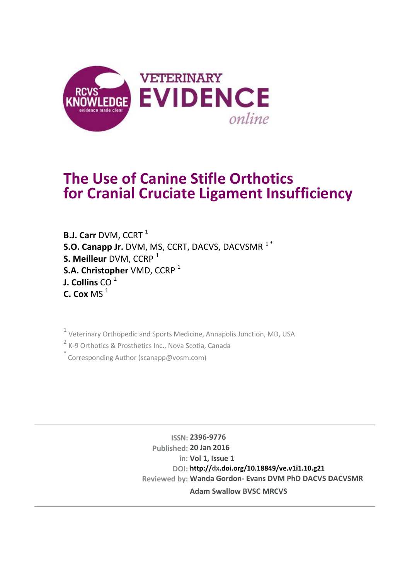

# **The Use of Canine Stifle Orthotics for Cranial Cruciate Ligament Insufficiency**

**B.J. Carr** DVM, CCRT<sup>1</sup> **S.O. Canapp Jr.** DVM, MS, CCRT, DACVS, DACVSMR<sup>1</sub>\*</sup> **S. Meilleur** DVM, CCRP<sup>1</sup> **S.A. Christopher** VMD, CCRP<sup>1</sup> **J. Collins** CO 2 **C. Cox** MS $<sup>1</sup>$ </sup>

<sup>1</sup> Veterinary Orthopedic and Sports Medicine, Annapolis Junction, MD, USA

<sup>2</sup> K-9 Orthotics & Prosthetics Inc., Nova Scotia, Canada

 $\degree$  Corresponding Author (scanapp@vosm.com)

**ISSN: 2396-9776 Published: 20 Jan 2016 in: Vol 1, Issue 1 DOI: http://dx.doi.org/10.18849/ve.v1i1.10.g21 Reviewed by: Wanda Gordon- Evans DVM PhD DACVS DACVSMR Adam Swallow BVSC MRCVS**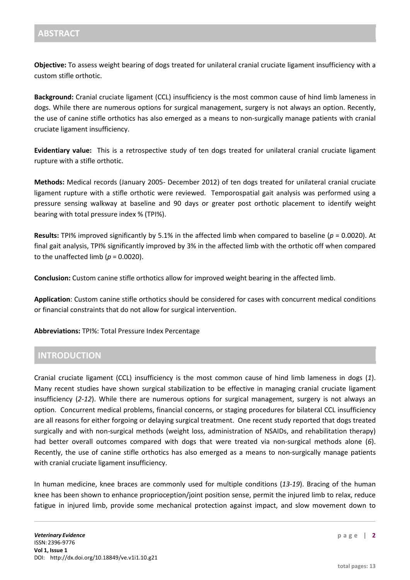**Objective:** To assess weight bearing of dogs treated for unilateral cranial cruciate ligament insufficiency with a custom stifle orthotic.

**Background:** Cranial cruciate ligament (CCL) insufficiency is the most common cause of hind limb lameness in dogs. While there are numerous options for surgical management, surgery is not always an option. Recently, the use of canine stifle orthotics has also emerged as a means to non-surgically manage patients with cranial cruciate ligament insufficiency.

**Evidentiary value:** This is a retrospective study of ten dogs treated for unilateral cranial cruciate ligament rupture with a stifle orthotic.

**Methods:** Medical records (January 2005- December 2012) of ten dogs treated for unilateral cranial cruciate ligament rupture with a stifle orthotic were reviewed. Temporospatial gait analysis was performed using a pressure sensing walkway at baseline and 90 days or greater post orthotic placement to identify weight bearing with total pressure index % (TPI%).

**Results:** TPI% improved significantly by 5.1% in the affected limb when compared to baseline (*p* = 0.0020). At final gait analysis, TPI% significantly improved by 3% in the affected limb with the orthotic off when compared to the unaffected limb ( $p = 0.0020$ ).

**Conclusion:** Custom canine stifle orthotics allow for improved weight bearing in the affected limb.

**Application**: Custom canine stifle orthotics should be considered for cases with concurrent medical conditions or financial constraints that do not allow for surgical intervention.

**Abbreviations:** TPI%: Total Pressure Index Percentage

## **INTRODUCTION**

Cranial cruciate ligament (CCL) insufficiency is the most common cause of hind limb lameness in dogs (*1*). Many recent studies have shown surgical stabilization to be effective in managing cranial cruciate ligament insufficiency (*2-12*). While there are numerous options for surgical management, surgery is not always an option. Concurrent medical problems, financial concerns, or staging procedures for bilateral CCL insufficiency are all reasons for either forgoing or delaying surgical treatment. One recent study reported that dogs treated surgically and with non-surgical methods (weight loss, administration of NSAIDs, and rehabilitation therapy) had better overall outcomes compared with dogs that were treated via non-surgical methods alone (*6*). Recently, the use of canine stifle orthotics has also emerged as a means to non-surgically manage patients with cranial cruciate ligament insufficiency.

In human medicine, knee braces are commonly used for multiple conditions (*13-19*). Bracing of the human knee has been shown to enhance proprioception/joint position sense, permit the injured limb to relax, reduce fatigue in injured limb, provide some mechanical protection against impact, and slow movement down to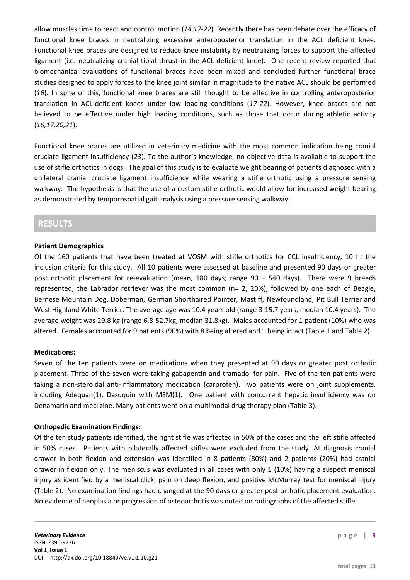allow muscles time to react and control motion (*14,17-22*). Recently there has been debate over the efficacy of functional knee braces in neutralizing excessive anteroposterior translation in the ACL deficient knee. Functional knee braces are designed to reduce knee instability by neutralizing forces to support the affected ligament (i.e. neutralizing cranial tibial thrust in the ACL deficient knee). One recent review reported that biomechanical evaluations of functional braces have been mixed and concluded further functional brace studies designed to apply forces to the knee joint similar in magnitude to the native ACL should be performed (*16*). In spite of this, functional knee braces are still thought to be effective in controlling anteroposterior translation in ACL-deficient knees under low loading conditions (*17-22*). However, knee braces are not believed to be effective under high loading conditions, such as those that occur during athletic activity (*16,17,20,21*).

Functional knee braces are utilized in veterinary medicine with the most common indication being cranial cruciate ligament insufficiency (*23*). To the author's knowledge, no objective data is available to support the use of stifle orthotics in dogs. The goal of this study is to evaluate weight bearing of patients diagnosed with a unilateral cranial cruciate ligament insufficiency while wearing a stifle orthotic using a pressure sensing walkway. The hypothesis is that the use of a custom stifle orthotic would allow for increased weight bearing as demonstrated by temporospatial gait analysis using a pressure sensing walkway.

## **RESULTS**

#### **Patient Demographics**

Of the 160 patients that have been treated at VOSM with stifle orthotics for CCL insufficiency, 10 fit the inclusion criteria for this study. All 10 patients were assessed at baseline and presented 90 days or greater post orthotic placement for re-evaluation (mean, 180 days; range 90 – 540 days). There were 9 breeds represented, the Labrador retriever was the most common (n= 2, 20%), followed by one each of Beagle, Bernese Mountain Dog, Doberman, German Shorthaired Pointer, Mastiff, Newfoundland, Pit Bull Terrier and West Highland White Terrier. The average age was 10.4 years old (range 3-15.7 years, median 10.4 years). The average weight was 29.8 kg (range 6.8-52.7kg, median 31.8kg). Males accounted for 1 patient (10%) who was altered. Females accounted for 9 patients (90%) with 8 being altered and 1 being intact (Table 1 and Table 2).

#### **Medications:**

Seven of the ten patients were on medications when they presented at 90 days or greater post orthotic placement. Three of the seven were taking gabapentin and tramadol for pain. Five of the ten patients were taking a non-steroidal anti-inflammatory medication (carprofen). Two patients were on joint supplements, including Adequan(1), Dasuquin with MSM(1). One patient with concurrent hepatic insufficiency was on Denamarin and meclizine. Many patients were on a multimodal drug therapy plan (Table 3).

#### **Orthopedic Examination Findings:**

Of the ten study patients identified, the right stifle was affected in 50% of the cases and the left stifle affected in 50% cases. Patients with bilaterally affected stifles were excluded from the study. At diagnosis cranial drawer in both flexion and extension was identified in 8 patients (80%) and 2 patients (20%) had cranial drawer in flexion only. The meniscus was evaluated in all cases with only 1 (10%) having a suspect meniscal injury as identified by a meniscal click, pain on deep flexion, and positive McMurray test for meniscal injury (Table 2). No examination findings had changed at the 90 days or greater post orthotic placement evaluation. No evidence of neoplasia or progression of osteoarthritis was noted on radiographs of the affected stifle.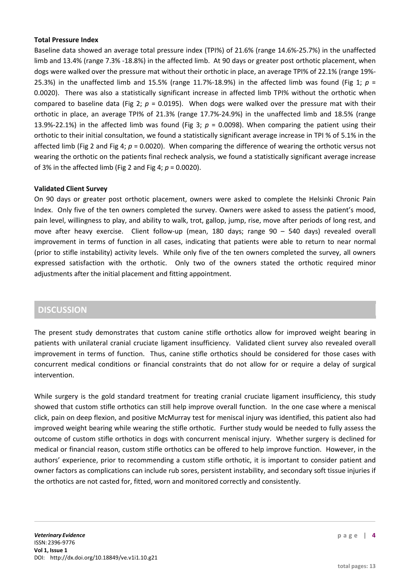#### **Total Pressure Index**

Baseline data showed an average total pressure index (TPI%) of 21.6% (range 14.6%-25.7%) in the unaffected limb and 13.4% (range 7.3% -18.8%) in the affected limb. At 90 days or greater post orthotic placement, when dogs were walked over the pressure mat without their orthotic in place, an average TPI% of 22.1% (range 19%- 25.3%) in the unaffected limb and 15.5% (range 11.7%-18.9%) in the affected limb was found (Fig 1;  $p =$ 0.0020). There was also a statistically significant increase in affected limb TPI% without the orthotic when compared to baseline data (Fig 2;  $p = 0.0195$ ). When dogs were walked over the pressure mat with their orthotic in place, an average TPI% of 21.3% (range 17.7%-24.9%) in the unaffected limb and 18.5% (range 13.9%-22.1%) in the affected limb was found (Fig 3;  $p = 0.0098$ ). When comparing the patient using their orthotic to their initial consultation, we found a statistically significant average increase in TPI % of 5.1% in the affected limb (Fig 2 and Fig 4; *p* = 0.0020). When comparing the difference of wearing the orthotic versus not wearing the orthotic on the patients final recheck analysis, we found a statistically significant average increase of 3% in the affected limb (Fig 2 and Fig 4; *p* = 0.0020).

#### **Validated Client Survey**

On 90 days or greater post orthotic placement, owners were asked to complete the Helsinki Chronic Pain Index. Only five of the ten owners completed the survey. Owners were asked to assess the patient's mood, pain level, willingness to play, and ability to walk, trot, gallop, jump, rise, move after periods of long rest, and move after heavy exercise. Client follow-up (mean, 180 days; range 90 – 540 days) revealed overall improvement in terms of function in all cases, indicating that patients were able to return to near normal (prior to stifle instability) activity levels. While only five of the ten owners completed the survey, all owners expressed satisfaction with the orthotic. Only two of the owners stated the orthotic required minor adjustments after the initial placement and fitting appointment.

## **DISCUSSION**

The present study demonstrates that custom canine stifle orthotics allow for improved weight bearing in patients with unilateral cranial cruciate ligament insufficiency. Validated client survey also revealed overall improvement in terms of function. Thus, canine stifle orthotics should be considered for those cases with concurrent medical conditions or financial constraints that do not allow for or require a delay of surgical intervention.

While surgery is the gold standard treatment for treating cranial cruciate ligament insufficiency, this study showed that custom stifle orthotics can still help improve overall function. In the one case where a meniscal click, pain on deep flexion, and positive McMurray test for meniscal injury was identified, this patient also had improved weight bearing while wearing the stifle orthotic. Further study would be needed to fully assess the outcome of custom stifle orthotics in dogs with concurrent meniscal injury. Whether surgery is declined for medical or financial reason, custom stifle orthotics can be offered to help improve function. However, in the authors' experience, prior to recommending a custom stifle orthotic, it is important to consider patient and owner factors as complications can include rub sores, persistent instability, and secondary soft tissue injuries if the orthotics are not casted for, fitted, worn and monitored correctly and consistently.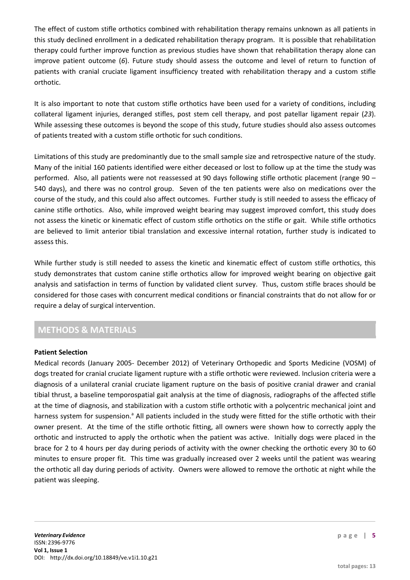The effect of custom stifle orthotics combined with rehabilitation therapy remains unknown as all patients in this study declined enrollment in a dedicated rehabilitation therapy program. It is possible that rehabilitation therapy could further improve function as previous studies have shown that rehabilitation therapy alone can improve patient outcome (*6*). Future study should assess the outcome and level of return to function of patients with cranial cruciate ligament insufficiency treated with rehabilitation therapy and a custom stifle orthotic.

It is also important to note that custom stifle orthotics have been used for a variety of conditions, including collateral ligament injuries, deranged stifles, post stem cell therapy, and post patellar ligament repair (*23*). While assessing these outcomes is beyond the scope of this study, future studies should also assess outcomes of patients treated with a custom stifle orthotic for such conditions.

Limitations of this study are predominantly due to the small sample size and retrospective nature of the study. Many of the initial 160 patients identified were either deceased or lost to follow up at the time the study was performed. Also, all patients were not reassessed at 90 days following stifle orthotic placement (range 90 – 540 days), and there was no control group. Seven of the ten patients were also on medications over the course of the study, and this could also affect outcomes. Further study is still needed to assess the efficacy of canine stifle orthotics. Also, while improved weight bearing may suggest improved comfort, this study does not assess the kinetic or kinematic effect of custom stifle orthotics on the stifle or gait. While stifle orthotics are believed to limit anterior tibial translation and excessive internal rotation, further study is indicated to assess this.

While further study is still needed to assess the kinetic and kinematic effect of custom stifle orthotics, this study demonstrates that custom canine stifle orthotics allow for improved weight bearing on objective gait analysis and satisfaction in terms of function by validated client survey. Thus, custom stifle braces should be considered for those cases with concurrent medical conditions or financial constraints that do not allow for or require a delay of surgical intervention.

## **METHODS & MATERIALS**

#### **Patient Selection**

Medical records (January 2005- December 2012) of Veterinary Orthopedic and Sports Medicine (VOSM) of dogs treated for cranial cruciate ligament rupture with a stifle orthotic were reviewed. Inclusion criteria were a diagnosis of a unilateral cranial cruciate ligament rupture on the basis of positive cranial drawer and cranial tibial thrust, a baseline temporospatial gait analysis at the time of diagnosis, radiographs of the affected stifle at the time of diagnosis, and stabilization with a custom stifle orthotic with a polycentric mechanical joint and harness system for suspension.<sup>a</sup> All patients included in the study were fitted for the stifle orthotic with their owner present. At the time of the stifle orthotic fitting, all owners were shown how to correctly apply the orthotic and instructed to apply the orthotic when the patient was active. Initially dogs were placed in the brace for 2 to 4 hours per day during periods of activity with the owner checking the orthotic every 30 to 60 minutes to ensure proper fit. This time was gradually increased over 2 weeks until the patient was wearing the orthotic all day during periods of activity. Owners were allowed to remove the orthotic at night while the patient was sleeping.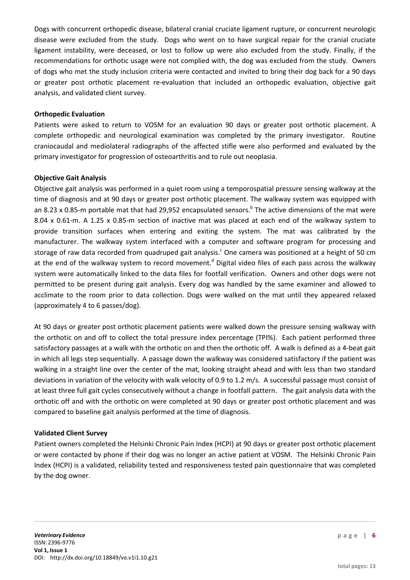Dogs with concurrent orthopedic disease, bilateral cranial cruciate ligament rupture, or concurrent neurologic disease were excluded from the study. Dogs who went on to have surgical repair for the cranial cruciate ligament instability, were deceased, or lost to follow up were also excluded from the study. Finally, if the recommendations for orthotic usage were not complied with, the dog was excluded from the study. Owners of dogs who met the study inclusion criteria were contacted and invited to bring their dog back for a 90 days or greater post orthotic placement re-evaluation that included an orthopedic evaluation, objective gait analysis, and validated client survey.

#### **Orthopedic Evaluation**

Patients were asked to return to VOSM for an evaluation 90 days or greater post orthotic placement. A complete orthopedic and neurological examination was completed by the primary investigator. Routine craniocaudal and mediolateral radiographs of the affected stifle were also performed and evaluated by the primary investigator for progression of osteoarthritis and to rule out neoplasia.

#### **Objective Gait Analysis**

Objective gait analysis was performed in a quiet room using a temporospatial pressure sensing walkway at the time of diagnosis and at 90 days or greater post orthotic placement. The walkway system was equipped with an 8.23 x 0.85-m portable mat that had 29,952 encapsulated sensors.<sup>b</sup> The active dimensions of the mat were 8.04 x 0.61-m. A 1.25 x 0.85-m section of inactive mat was placed at each end of the walkway system to provide transition surfaces when entering and exiting the system. The mat was calibrated by the manufacturer. The walkway system interfaced with a computer and software program for processing and storage of raw data recorded from quadruped gait analysis.<sup>c</sup> One camera was positioned at a height of 50 cm at the end of the walkway system to record movement.<sup>d</sup> Digital video files of each pass across the walkway system were automatically linked to the data files for footfall verification. Owners and other dogs were not permitted to be present during gait analysis. Every dog was handled by the same examiner and allowed to acclimate to the room prior to data collection. Dogs were walked on the mat until they appeared relaxed (approximately 4 to 6 passes/dog).

At 90 days or greater post orthotic placement patients were walked down the pressure sensing walkway with the orthotic on and off to collect the total pressure index percentage (TPI%). Each patient performed three satisfactory passages at a walk with the orthotic on and then the orthotic off. A walk is defined as a 4-beat gait in which all legs step sequentially. A passage down the walkway was considered satisfactory if the patient was walking in a straight line over the center of the mat, looking straight ahead and with less than two standard deviations in variation of the velocity with walk velocity of 0.9 to 1.2 m/s. A successful passage must consist of at least three full gait cycles consecutively without a change in footfall pattern. The gait analysis data with the orthotic off and with the orthotic on were completed at 90 days or greater post orthotic placement and was compared to baseline gait analysis performed at the time of diagnosis.

#### **Validated Client Survey**

Patient owners completed the Helsinki Chronic Pain Index (HCPI) at 90 days or greater post orthotic placement or were contacted by phone if their dog was no longer an active patient at VOSM. The Helsinki Chronic Pain Index (HCPI) is a validated, reliability tested and responsiveness tested pain questionnaire that was completed by the dog owner.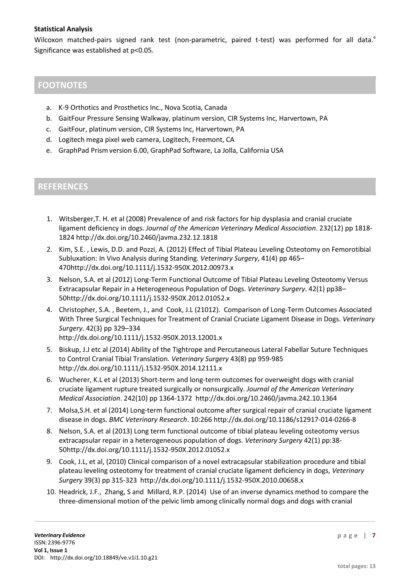#### **Statistical Analysis**

Wilcoxon matched-pairs signed rank test (non-parametric, paired t-test) was performed for all data.<sup>e</sup> Significance was established at p<0.05.

## **FOOTNOTES**

- a. K-9 Orthotics and Prosthetics Inc., Nova Scotia, Canada
- b. GaitFour Pressure Sensing Walkway, platinum version, CIR Systems Inc, Harvertown, PA
- c. GaitFour, platinum version, CIR Systems Inc, Harvertown, PA
- d. Logitech mega pixel web camera, Logitech, Freemont, CA
- e. GraphPad Prismversion 6.00, GraphPad Software, La Jolla, California USA

#### **REFERENCES**

- 1. Witsberger,T. H. et al (2008) Prevalence of and risk factors for hip dysplasia and cranial cruciate ligament deficiency in dogs. *Journal of the American Veterinary Medical Association*. 232(12) pp 1818- 1824 <http://dx.doi.org/10.2460/javma.232.12.1818>
- 2. Kim, S.E. , Lewis, D.D. and Pozzi, A. (2012) Effect of Tibial Plateau Leveling Osteotomy on Femorotibial Subluxation: In Vivo Analysis during Standing. *Veterinary Surgery*, 41(4) pp 465– 47[0http://dx.doi.org/10.1111/j.1532-950X.2012.00973.x](http://dx.doi.org/10.1111/j.1532-950X.2012.00973.x)
- 3. Nelson, S.A. et al (2012) Long-Term Functional Outcome of Tibial Plateau Leveling Osteotomy Versus Extracapsular Repair in a Heterogeneous Population of Dogs. *Veterinary Surgery*. 42(1) pp38– 5[0http://dx.doi.org/10.1111/j.1532-950X.2012.01052.x](http://dx.doi.org/10.1111/j.1532-950X.2012.01052.x)
- 4. Christopher, S.A. , Beetem, J., and Cook, J.L (21012). Comparison of Long-Term Outcomes Associated With Three Surgical Techniques for Treatment of Cranial Cruciate Ligament Disease in Dogs. *Veterinary Surgery*. 42(3) pp 329–334 <http://dx.doi.org/10.1111/j.1532-950X.2013.12001.x>
- 5. Biskup, J.J etc al (2014) Ability of the Tightrope and Percutaneous Lateral Fabellar Suture Techniques to Control Cranial Tibial Translation. *Veterinary Surgery* 43(8) pp 959-985 <http://dx.doi.org/10.1111/j.1532-950X.2014.12111.x>
- 6. Wucherer, K.L et al (2013) Short-term and long-term outcomes for overweight dogs with cranial cruciate ligament rupture treated surgically or nonsurgically. *Journal of the American Veterinary Medical Association*. 242(10) pp 1364-1372 <http://dx.doi.org/10.2460/javma.242.10.1364>
- 7. Molsa,S.H. et al (2014) Long-term functional outcome after surgical repair of cranial cruciate ligament disease in dogs. *BMC Veterinary Research*. 10:266 <http://dx.doi.org/10.1186/s12917-014-0266-8>
- 8. Nelson, S.A. et al (2013) Long term functional outcome of tibial plateau leveling osteotomy versus extracapsular repair in a heterogeneous population of dogs. *Veterinary Surgery* 42(1) pp:38- 5[0http://dx.doi.org/10.1111/j.1532-950X.2012.01052.x](http://dx.doi.org/10.1111/j.1532-950X.2012.01052.x)
- 9. Cook, J.L, et al, (2010) Clinical comparison of a novel extracapsular stabilization procedure and tibial plateau leveling osteotomy for treatment of cranial cruciate ligament deficiency in dogs, *Veterinary Surgery* 39(3) pp 315-323 <http://dx.doi.org/10.1111/j.1532-950X.2010.00658.x>
- 10. Headrick, J.F., Zhang, S and Millard, R.P. (2014) Use of an inverse dynamics method to compare the three-dimensional motion of the pelvic limb among clinically normal dogs and dogs with cranial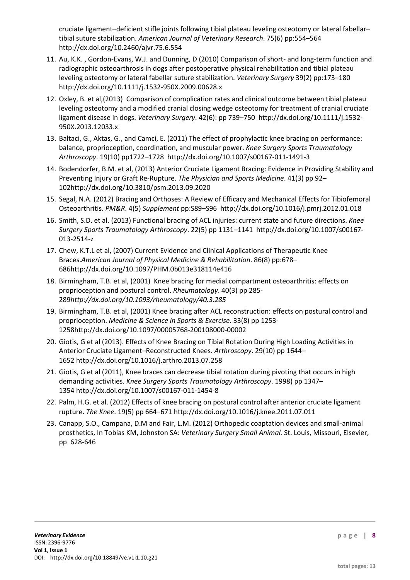cruciate ligament–deficient stifle joints following tibial plateau leveling osteotomy or lateral fabellar– tibial suture stabilization. *American Journal of Veterinary Research*. 75(6) pp:554–564 <http://dx.doi.org/10.2460/ajvr.75.6.554>

- 11. Au, K.K. , Gordon-Evans, W.J. and Dunning, D (2010) Comparison of short- and long-term function and radiographic osteoarthrosis in dogs after postoperative physical rehabilitation and tibial plateau leveling osteotomy or lateral fabellar suture stabilization. *Veterinary Surgery* 39(2) pp:173–180 <http://dx.doi.org/10.1111/j.1532-950X.2009.00628.x>
- 12. Oxley, B. et al,(2013) Comparison of complication rates and clinical outcome between tibial plateau leveling osteotomy and a modified cranial closing wedge osteotomy for treatment of cranial cruciate ligament disease in dogs. *Veterinary Surgery*. 42(6): pp 739–750 [http://dx.doi.org/10.1111/j.1532-](http://dx.doi.org/10.1111/j.1532-950X.2013.12033.x) [950X.2013.12033.x](http://dx.doi.org/10.1111/j.1532-950X.2013.12033.x)
- 13. Baltaci, G., Aktas, G., and Camci, E. (2011) The effect of prophylactic knee bracing on performance: balance, proprioception, coordination, and muscular power. *Knee Surgery Sports Traumatology Arthroscopy*. 19(10) pp1722–1728 <http://dx.doi.org/10.1007/s00167-011-1491-3>
- 14. Bodendorfer, B.M. et al, (2013) Anterior Cruciate Ligament Bracing: Evidence in Providing Stability and Preventing Injury or Graft Re-Rupture. *The Physician and Sports Medicine*. 41(3) pp 92– 10[2http://dx.doi.org/10.3810/psm.2013.09.2020](http://dx.doi.org/10.3810/psm.2013.09.2020)
- 15. Segal, N.A. (2012) Bracing and Orthoses: A Review of Efficacy and Mechanical Effects for Tibiofemoral Osteoarthritis. *PM&R*. 4(5) *Supplement* pp:S89–S96 <http://dx.doi.org/10.1016/j.pmrj.2012.01.018>
- 16. Smith, S.D. et al. (2013) Functional bracing of ACL injuries: current state and future directions. *Knee Surgery Sports Traumatology Arthroscopy*. 22(5) pp 1131–1141 [http://dx.doi.org/10.1007/s00167-](http://dx.doi.org/10.1007/s00167-013-2514-z) [013-2514-z](http://dx.doi.org/10.1007/s00167-013-2514-z)
- 17. Chew, K.T.L et al, (2007) Current Evidence and Clinical Applications of Therapeutic Knee Braces.*American Journal of Physical Medicine & Rehabilitation*. 86(8) pp:678– 68[6http://dx.doi.org/10.1097/PHM.0b013e318114e416](http://dx.doi.org/10.1097/PHM.0b013e318114e416)
- 18. Birmingham, T.B. et al, (2001) Knee bracing for medial compartment osteoarthritis: effects on proprioception and postural control. *Rheumatology*. 40(3) pp 285- 289*<http://dx.doi.org/10.1093/rheumatology/40.3.285>*
- 19. Birmingham, T.B. et al, (2001) Knee bracing after ACL reconstruction: effects on postural control and proprioception. *Medicine & Science in Sports & Exercise*. 33(8) pp 1253- 125[8http://dx.doi.org/10.1097/00005768-200108000-00002](http://dx.doi.org/10.1097/00005768-200108000-00002)
- 20. Giotis, G et al (2013). Effects of Knee Bracing on Tibial Rotation During High Loading Activities in Anterior Cruciate Ligament–Reconstructed Knees. *Arthroscopy*. 29(10) pp 1644– 1652 <http://dx.doi.org/10.1016/j.arthro.2013.07.258>
- 21. Giotis, G et al (2011), Knee braces can decrease tibial rotation during pivoting that occurs in high demanding activities. *Knee Surgery Sports Traumatology Arthroscopy*. 1998) pp 1347– 1354 <http://dx.doi.org/10.1007/s00167-011-1454-8>
- 22. Palm, H.G. et al. (2012) Effects of knee bracing on postural control after anterior cruciate ligament rupture. *The Knee*. 19(5) pp 664–671 <http://dx.doi.org/10.1016/j.knee.2011.07.011>
- 23. Canapp, S.O., Campana, D.M and Fair, L.M. (2012) Orthopedic coaptation devices and small-animal prosthetics, In Tobias KM, Johnston SA: *Veterinary Surgery Small Animal.* St. Louis, Missouri, Elsevier, pp 628-646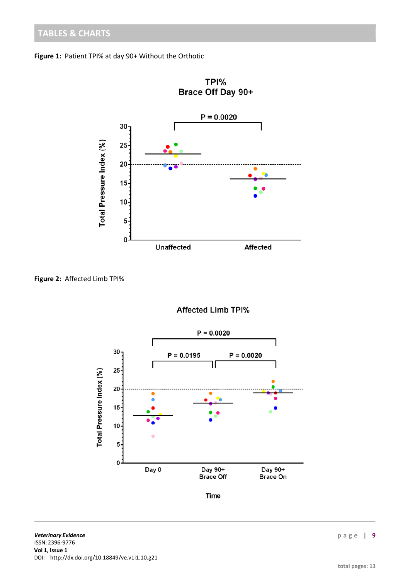



**Figure 2:** Affected Limb TPI%



**Affected Limb TPI%**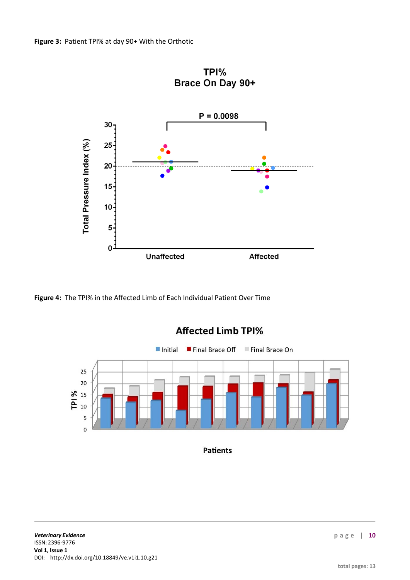

TPI%

**Figure 4:** The TPI% in the Affected Limb of Each Individual Patient Over Time



## **Affected Limb TPI%**

**Patients**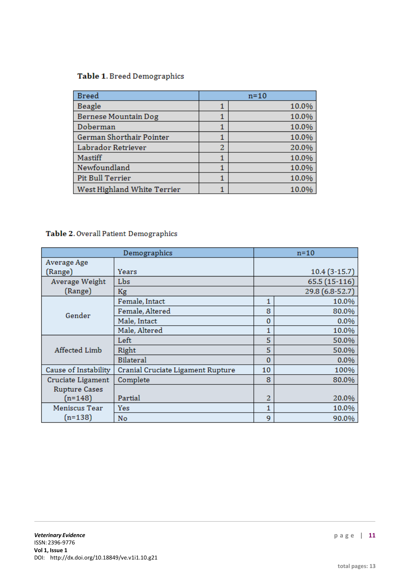## Table 1. Breed Demographics

| <b>Breed</b>                | $n=10$ |       |  |
|-----------------------------|--------|-------|--|
| Beagle                      |        | 10.0% |  |
| Bernese Mountain Dog        |        | 10.0% |  |
| Doberman                    |        | 10.0% |  |
| German Shorthair Pointer    |        | 10.0% |  |
| Labrador Retriever          | 2      | 20.0% |  |
| Mastiff                     |        | 10.0% |  |
| Newfoundland                |        | 10.0% |  |
| <b>Pit Bull Terrier</b>     |        | 10.0% |  |
| West Highland White Terrier |        | 10.0% |  |

## Table 2. Overall Patient Demographics

|                      | Demographics                      |          | $n=10$          |
|----------------------|-----------------------------------|----------|-----------------|
| Average Age          |                                   |          |                 |
| (Range)              | Years                             |          | $10.4(3-15.7)$  |
| Average Weight       | Lbs                               |          | 65.5 (15-116)   |
| (Range)              | Kg                                |          | 29.8 (6.8-52.7) |
|                      | Female, Intact                    | 1        | 10.0%           |
| Gender               | Female, Altered                   | 8        | 80.0%           |
|                      | Male, Intact                      | 0        | 0.0%            |
|                      | Male, Altered                     | 1        | 10.0%           |
| Affected Limb        | Left                              | 5        | 50.0%           |
|                      | Right                             | 5        | 50.0%           |
|                      | <b>Bilateral</b>                  | $\Omega$ | 0.0%            |
| Cause of Instability | Cranial Cruciate Ligament Rupture | 10       | 100%            |
| Cruciate Ligament    | Complete                          | 8        | 80.0%           |
| <b>Rupture Cases</b> |                                   |          |                 |
| $(n=148)$            | Partial                           | 2        | 20.0%           |
| Meniscus Tear        | Yes                               | 1        | 10.0%           |
| $(n=138)$            | No                                | 9        | 90.0%           |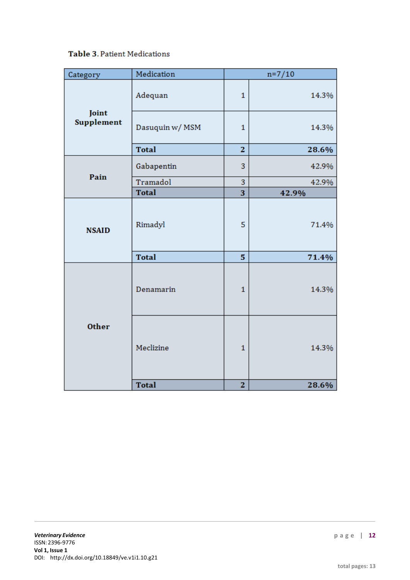## Table 3. Patient Medications

| Category            | Medication      | $n=7/10$                |       |  |
|---------------------|-----------------|-------------------------|-------|--|
| Joint<br>Supplement | Adequan         | $\mathbf{1}$            | 14.3% |  |
|                     | Dasuquin w/ MSM | 1                       | 14.3% |  |
|                     | <b>Total</b>    | $\overline{z}$          | 28.6% |  |
| Pain                | Gabapentin      | 3                       | 42.9% |  |
|                     | Tramadol        | 3                       | 42.9% |  |
|                     | <b>Total</b>    | 3                       | 42.9% |  |
| <b>NSAID</b>        | Rimadyl         | 5                       | 71.4% |  |
|                     | <b>Total</b>    | 5                       | 71.4% |  |
| <b>Other</b>        | Denamarin       | $\mathbf{1}$            | 14.3% |  |
|                     | Meclizine       | $\mathbf{1}$            | 14.3% |  |
|                     | <b>Total</b>    | $\overline{\mathbf{z}}$ | 28.6% |  |